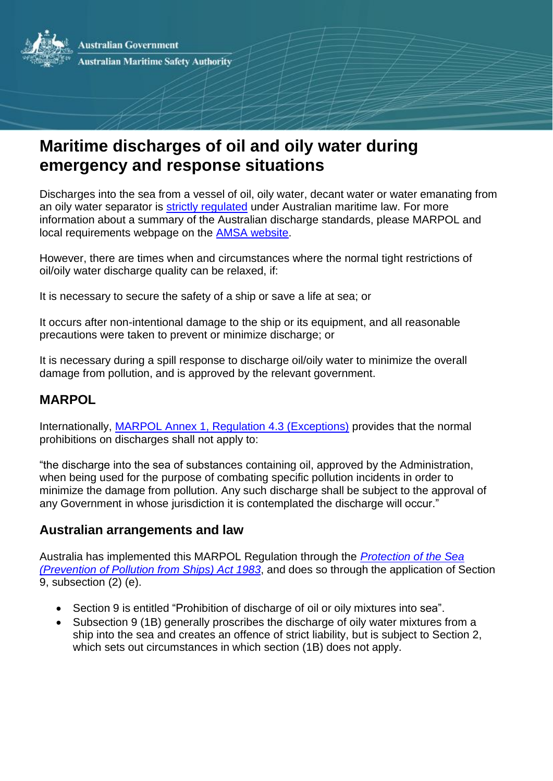

# **Maritime discharges of oil and oily water during emergency and response situations**

Discharges into the sea from a vessel of oil, oily water, decant water or water emanating from an oily water separator is [strictly regulated](http://www.amsa.gov.au/forms-and-publications/Fact-Sheets/Ship_Pollution_Regulations.pdf) under Australian maritime law. For more information about a summary of the Australian discharge standards, please MARPOL and local requirements webpage on the [AMSA website.](http://www.amsa.gov.au/environment/legislation-and-prevention/maritime-discharges/discharges/index.asp)

However, there are times when and circumstances where the normal tight restrictions of oil/oily water discharge quality can be relaxed, if:

It is necessary to secure the safety of a ship or save a life at sea; or

It occurs after non-intentional damage to the ship or its equipment, and all reasonable precautions were taken to prevent or minimize discharge; or

It is necessary during a spill response to discharge oil/oily water to minimize the overall damage from pollution, and is approved by the relevant government.

## **MARPOL**

Internationally, [MARPOL Annex 1, Regulation 4.3 \(Exceptions\)](http://www.amsa.gov.au/environment/legislation-and-prevention/documents/117-52.pdf) provides that the normal prohibitions on discharges shall not apply to:

"the discharge into the sea of substances containing oil, approved by the Administration, when being used for the purpose of combating specific pollution incidents in order to minimize the damage from pollution. Any such discharge shall be subject to the approval of any Government in whose jurisdiction it is contemplated the discharge will occur."

### **Australian arrangements and law**

Australia has implemented this MARPOL Regulation through the *[Protection of the Sea](http://www.comlaw.gov.au/Details/C2012C00770) [\(Prevention](http://www.comlaw.gov.au/Details/C2012C00770) of Pollution from Ships) Act 1983*, and does so through the application of Section 9, subsection (2) (e).

- Section 9 is entitled "Prohibition of discharge of oil or oily mixtures into sea".
- Subsection 9 (1B) generally proscribes the discharge of oily water mixtures from a ship into the sea and creates an offence of strict liability, but is subject to Section 2, which sets out circumstances in which section (1B) does not apply.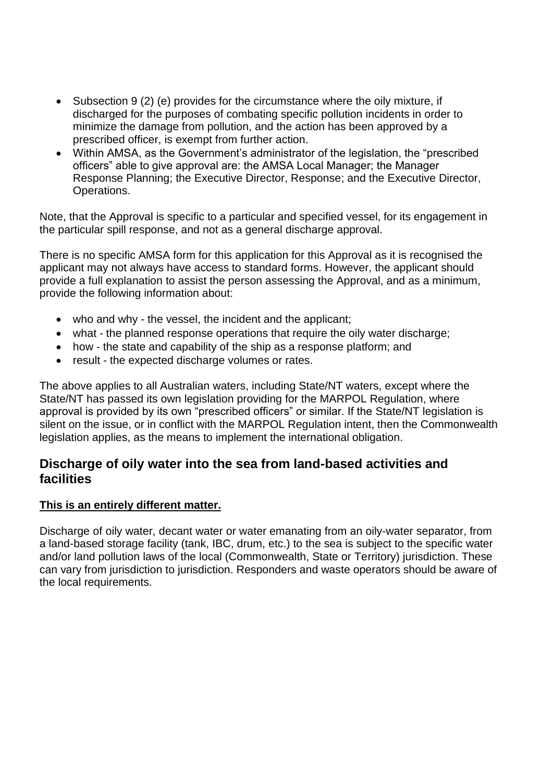- Subsection 9 (2) (e) provides for the circumstance where the oily mixture, if discharged for the purposes of combating specific pollution incidents in order to minimize the damage from pollution, and the action has been approved by a prescribed officer, is exempt from further action.
- Within AMSA, as the Government's administrator of the legislation, the "prescribed officers" able to give approval are: the AMSA Local Manager; the Manager Response Planning; the Executive Director, Response; and the Executive Director, Operations.

Note, that the Approval is specific to a particular and specified vessel, for its engagement in the particular spill response, and not as a general discharge approval.

There is no specific AMSA form for this application for this Approval as it is recognised the applicant may not always have access to standard forms. However, the applicant should provide a full explanation to assist the person assessing the Approval, and as a minimum, provide the following information about:

- who and why the vessel, the incident and the applicant;
- what the planned response operations that require the oily water discharge;
- how the state and capability of the ship as a response platform; and
- result the expected discharge volumes or rates.

The above applies to all Australian waters, including State/NT waters, except where the State/NT has passed its own legislation providing for the MARPOL Regulation, where approval is provided by its own "prescribed officers" or similar. If the State/NT legislation is silent on the issue, or in conflict with the MARPOL Regulation intent, then the Commonwealth legislation applies, as the means to implement the international obligation.

## **Discharge of oily water into the sea from land-based activities and facilities**

#### **This is an entirely different matter.**

Discharge of oily water, decant water or water emanating from an oily-water separator, from a land-based storage facility (tank, IBC, drum, etc.) to the sea is subject to the specific water and/or land pollution laws of the local (Commonwealth, State or Territory) jurisdiction. These can vary from jurisdiction to jurisdiction. Responders and waste operators should be aware of the local requirements.